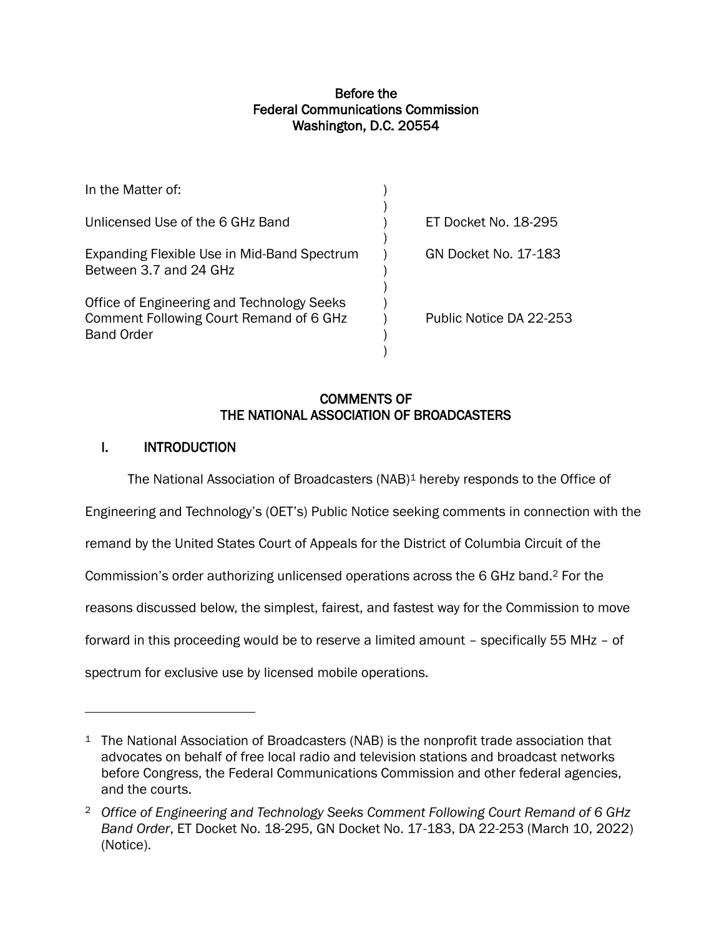### Before the Federal Communications Commission Washington, D.C. 20554

| ET Docket No. 18-295    |
|-------------------------|
| GN Docket No. 17-183    |
| Public Notice DA 22-253 |
|                         |

## COMMENTS OF THE NATIONAL ASSOCIATION OF BROADCASTERS

# I. INTRODUCTION

The National Association of Broadcasters  $(NAB)^1$  hereby responds to the Office of Engineering and Technology's (OET's) Public Notice seeking comments in connection with the remand by the United States Court of Appeals for the District of Columbia Circuit of the Commission's order authorizing unlicensed operations across the 6 GHz band. <sup>2</sup> For the reasons discussed below, the simplest, fairest, and fastest way for the Commission to move forward in this proceeding would be to reserve a limited amount – specifically 55 MHz – of spectrum for exclusive use by licensed mobile operations.

<sup>&</sup>lt;sup>1</sup> The National Association of Broadcasters (NAB) is the nonprofit trade association that advocates on behalf of free local radio and television stations and broadcast networks before Congress, the Federal Communications Commission and other federal agencies, and the courts.

<sup>2</sup> *Office of Engineering and Technology Seeks Comment Following Court Remand of 6 GHz Band Order*, ET Docket No. 18-295, GN Docket No. 17-183, DA 22-253 (March 10, 2022) (Notice).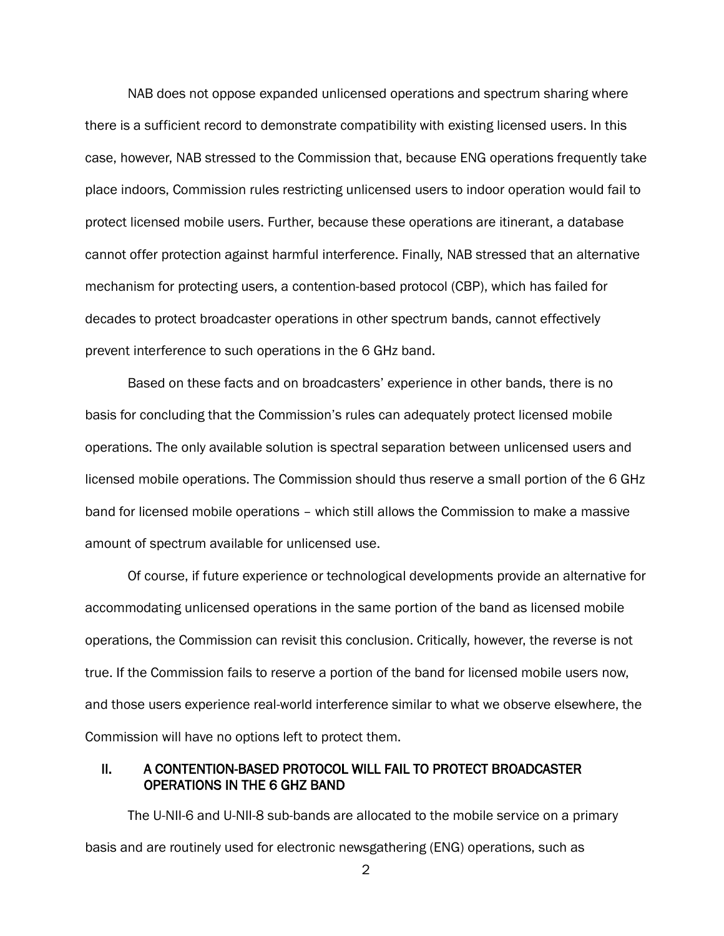NAB does not oppose expanded unlicensed operations and spectrum sharing where there is a sufficient record to demonstrate compatibility with existing licensed users. In this case, however, NAB stressed to the Commission that, because ENG operations frequently take place indoors, Commission rules restricting unlicensed users to indoor operation would fail to protect licensed mobile users. Further, because these operations are itinerant, a database cannot offer protection against harmful interference. Finally, NAB stressed that an alternative mechanism for protecting users, a contention-based protocol (CBP), which has failed for decades to protect broadcaster operations in other spectrum bands, cannot effectively prevent interference to such operations in the 6 GHz band.

Based on these facts and on broadcasters' experience in other bands, there is no basis for concluding that the Commission's rules can adequately protect licensed mobile operations. The only available solution is spectral separation between unlicensed users and licensed mobile operations. The Commission should thus reserve a small portion of the 6 GHz band for licensed mobile operations – which still allows the Commission to make a massive amount of spectrum available for unlicensed use.

Of course, if future experience or technological developments provide an alternative for accommodating unlicensed operations in the same portion of the band as licensed mobile operations, the Commission can revisit this conclusion. Critically, however, the reverse is not true. If the Commission fails to reserve a portion of the band for licensed mobile users now, and those users experience real-world interference similar to what we observe elsewhere, the Commission will have no options left to protect them.

### II. A CONTENTION-BASED PROTOCOL WILL FAIL TO PROTECT BROADCASTER OPERATIONS IN THE 6 GHZ BAND

The U-NII-6 and U-NII-8 sub-bands are allocated to the mobile service on a primary basis and are routinely used for electronic newsgathering (ENG) operations, such as

2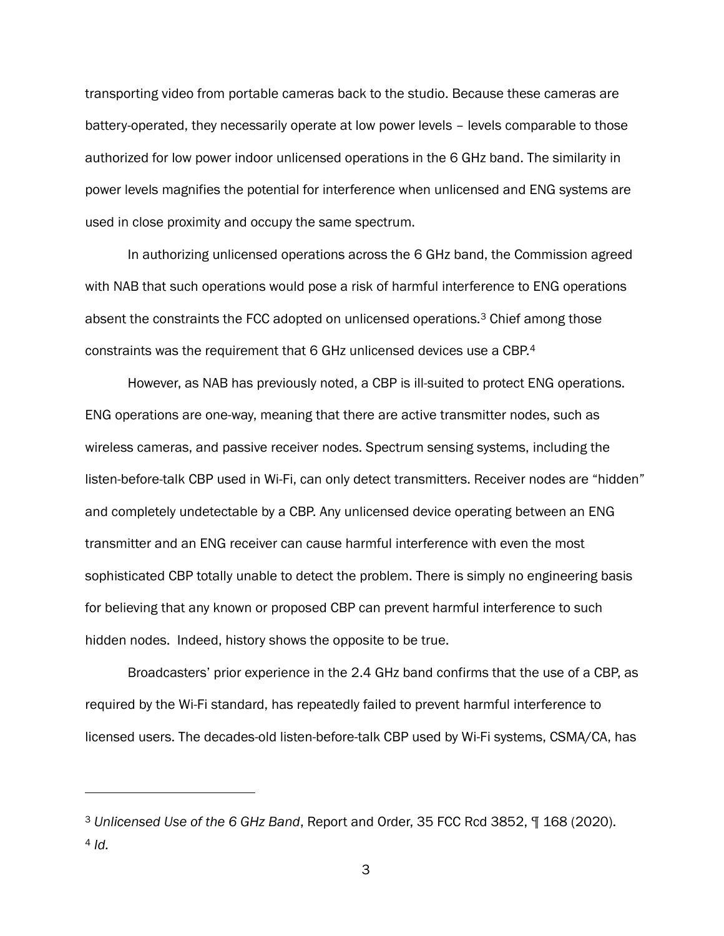transporting video from portable cameras back to the studio. Because these cameras are battery-operated, they necessarily operate at low power levels – levels comparable to those authorized for low power indoor unlicensed operations in the 6 GHz band. The similarity in power levels magnifies the potential for interference when unlicensed and ENG systems are used in close proximity and occupy the same spectrum.

In authorizing unlicensed operations across the 6 GHz band, the Commission agreed with NAB that such operations would pose a risk of harmful interference to ENG operations absent the constraints the FCC adopted on unlicensed operations.<sup>3</sup> Chief among those constraints was the requirement that 6 GHz unlicensed devices use a CBP.<sup>4</sup>

However, as NAB has previously noted, a CBP is ill-suited to protect ENG operations. ENG operations are one-way, meaning that there are active transmitter nodes, such as wireless cameras, and passive receiver nodes. Spectrum sensing systems, including the listen-before-talk CBP used in Wi-Fi, can only detect transmitters. Receiver nodes are "hidden" and completely undetectable by a CBP. Any unlicensed device operating between an ENG transmitter and an ENG receiver can cause harmful interference with even the most sophisticated CBP totally unable to detect the problem. There is simply no engineering basis for believing that any known or proposed CBP can prevent harmful interference to such hidden nodes. Indeed, history shows the opposite to be true.

Broadcasters' prior experience in the 2.4 GHz band confirms that the use of a CBP, as required by the Wi-Fi standard, has repeatedly failed to prevent harmful interference to licensed users. The decades-old listen-before-talk CBP used by Wi-Fi systems, CSMA/CA, has

<sup>3</sup> *Unlicensed Use of the 6 GHz Band*, Report and Order, 35 FCC Rcd 3852, ¶ 168 (2020). <sup>4</sup> *Id.*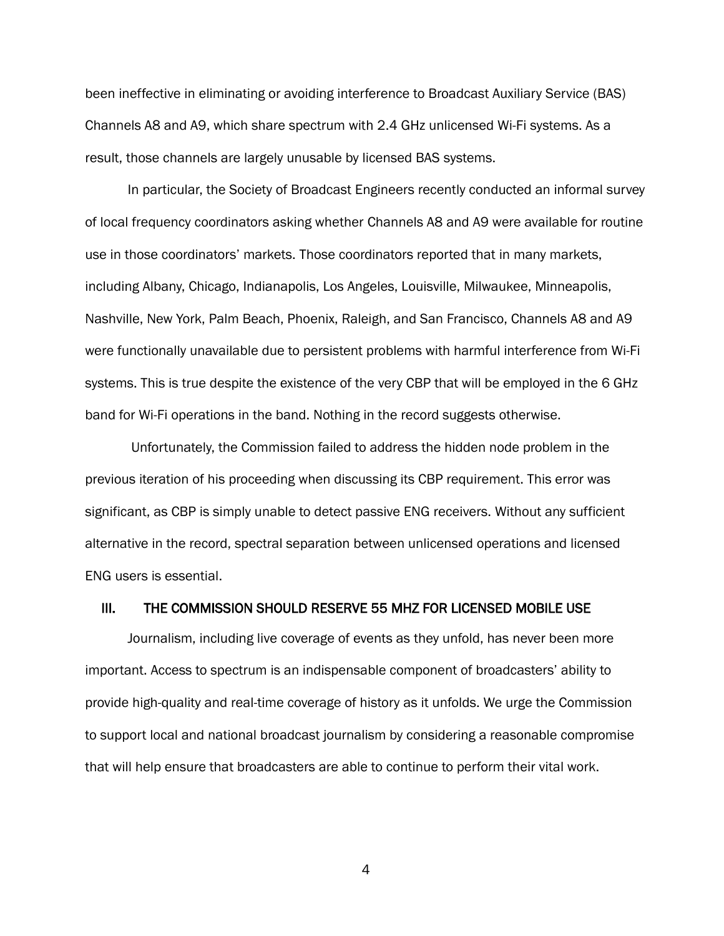been ineffective in eliminating or avoiding interference to Broadcast Auxiliary Service (BAS) Channels A8 and A9, which share spectrum with 2.4 GHz unlicensed Wi-Fi systems. As a result, those channels are largely unusable by licensed BAS systems.

In particular, the Society of Broadcast Engineers recently conducted an informal survey of local frequency coordinators asking whether Channels A8 and A9 were available for routine use in those coordinators' markets. Those coordinators reported that in many markets, including Albany, Chicago, Indianapolis, Los Angeles, Louisville, Milwaukee, Minneapolis, Nashville, New York, Palm Beach, Phoenix, Raleigh, and San Francisco, Channels A8 and A9 were functionally unavailable due to persistent problems with harmful interference from Wi-Fi systems. This is true despite the existence of the very CBP that will be employed in the 6 GHz band for Wi-Fi operations in the band. Nothing in the record suggests otherwise.

Unfortunately, the Commission failed to address the hidden node problem in the previous iteration of his proceeding when discussing its CBP requirement. This error was significant, as CBP is simply unable to detect passive ENG receivers. Without any sufficient alternative in the record, spectral separation between unlicensed operations and licensed ENG users is essential.

#### III. THE COMMISSION SHOULD RESERVE 55 MHZ FOR LICENSED MOBILE USE

Journalism, including live coverage of events as they unfold, has never been more important. Access to spectrum is an indispensable component of broadcasters' ability to provide high-quality and real-time coverage of history as it unfolds. We urge the Commission to support local and national broadcast journalism by considering a reasonable compromise that will help ensure that broadcasters are able to continue to perform their vital work.

4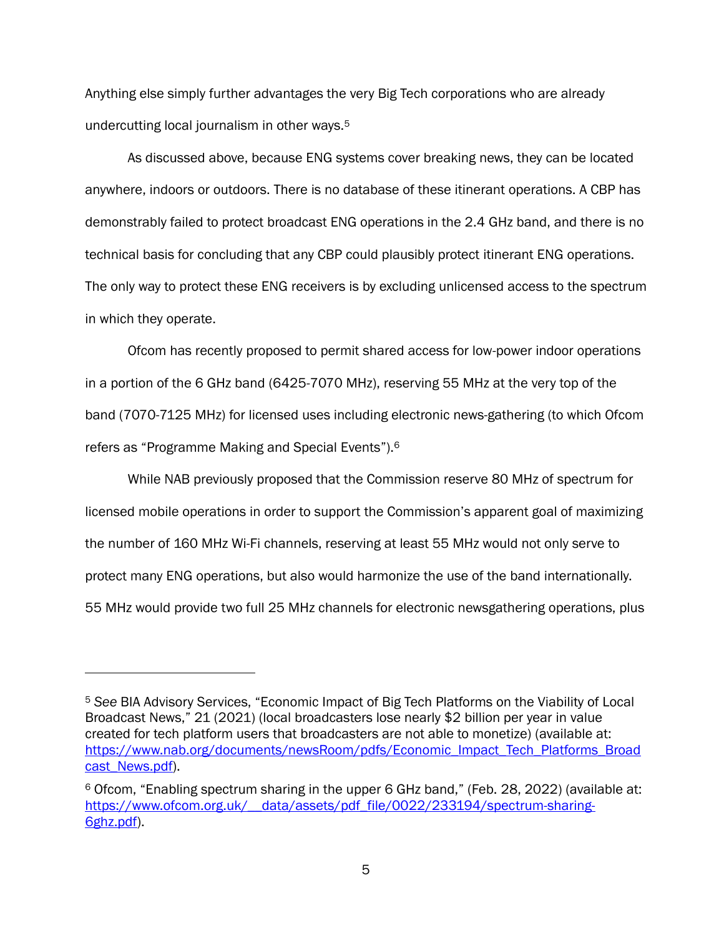Anything else simply further advantages the very Big Tech corporations who are already undercutting local journalism in other ways.<sup>5</sup>

As discussed above, because ENG systems cover breaking news, they can be located anywhere, indoors or outdoors. There is no database of these itinerant operations. A CBP has demonstrably failed to protect broadcast ENG operations in the 2.4 GHz band, and there is no technical basis for concluding that any CBP could plausibly protect itinerant ENG operations. The only way to protect these ENG receivers is by excluding unlicensed access to the spectrum in which they operate.

Ofcom has recently proposed to permit shared access for low-power indoor operations in a portion of the 6 GHz band (6425-7070 MHz), reserving 55 MHz at the very top of the band (7070-7125 MHz) for licensed uses including electronic news-gathering (to which Ofcom refers as "Programme Making and Special Events").<sup>6</sup>

While NAB previously proposed that the Commission reserve 80 MHz of spectrum for licensed mobile operations in order to support the Commission's apparent goal of maximizing the number of 160 MHz Wi-Fi channels, reserving at least 55 MHz would not only serve to protect many ENG operations, but also would harmonize the use of the band internationally. 55 MHz would provide two full 25 MHz channels for electronic newsgathering operations, plus

<sup>5</sup> *See* BIA Advisory Services, "Economic Impact of Big Tech Platforms on the Viability of Local Broadcast News," 21 (2021) (local broadcasters lose nearly \$2 billion per year in value created for tech platform users that broadcasters are not able to monetize) (available at: [https://www.nab.org/documents/newsRoom/pdfs/Economic\\_Impact\\_Tech\\_Platforms\\_Broad](https://www.nab.org/documents/newsRoom/pdfs/Economic_Impact_Tech_Platforms_Broadcast_News.pdf) [cast\\_News.pdf\)](https://www.nab.org/documents/newsRoom/pdfs/Economic_Impact_Tech_Platforms_Broadcast_News.pdf).

<sup>6</sup> Ofcom, "Enabling spectrum sharing in the upper 6 GHz band," (Feb. 28, 2022) (available at: https://www.ofcom.org.uk/ data/assets/pdf file/0022/233194/spectrum-sharing-[6ghz.pdf\)](https://www.ofcom.org.uk/__data/assets/pdf_file/0022/233194/spectrum-sharing-6ghz.pdf).